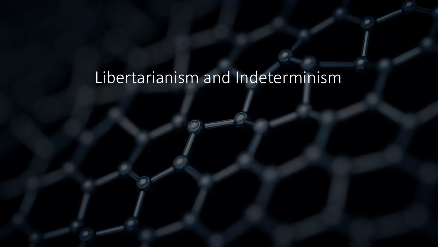# Libertarianism and Indeterminism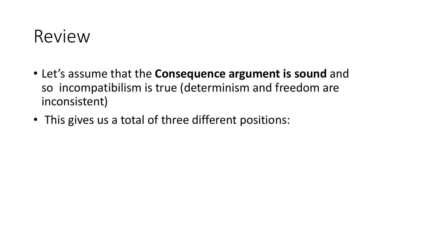#### Review

- Let's assume that the **Consequence argument is sound** and so incompatibilism is true (determinism and freedom are inconsistent)
- This gives us a total of three different positions: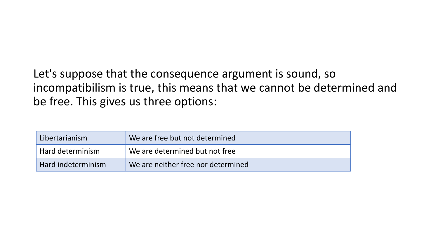Let's suppose that the consequence argument is sound, so incompatibilism is true, this means that we cannot be determined and be free. This gives us three options:

| Libertarianism     | We are free but not determined           |
|--------------------|------------------------------------------|
| Hard determinism   | $\forall$ We are determined but not free |
| Hard indeterminism | We are neither free nor determined       |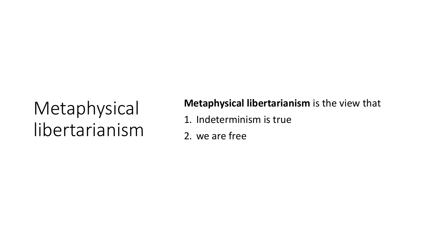# Metaphysical libertarianism

#### **Metaphysical libertarianism** is the view that

- 1. Indeterminism is true
- 2. we are free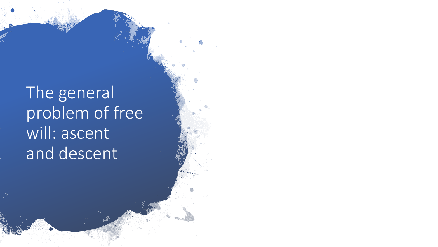# The general problem of free will: ascent and descent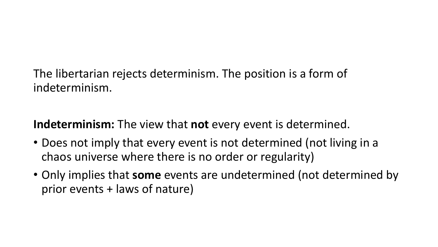The libertarian rejects determinism. The position is a form of indeterminism.

**Indeterminism:** The view that **not** every event is determined.

- Does not imply that every event is not determined (not living in a chaos universe where there is no order or regularity)
- Only implies that **some** events are undetermined (not determined by prior events + laws of nature)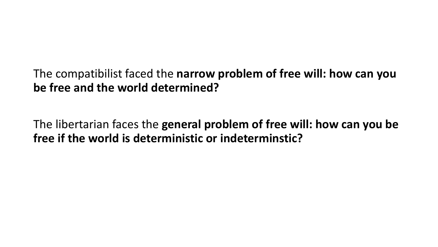The compatibilist faced the **narrow problem of free will: how can you be free and the world determined?**

The libertarian faces the **general problem of free will: how can you be free if the world is deterministic or indeterminstic?**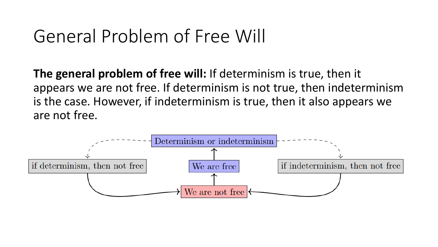## General Problem of Free Will

**The general problem of free will:** If determinism is true, then it appears we are not free. If determinism is not true, then indeterminism is the case. However, if indeterminism is true, then it also appears we are not free.

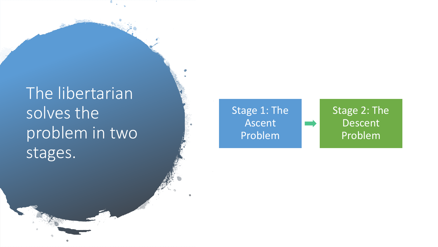## The libertarian solves the problem in two stages.

#### Stage 1: The Ascent Problem

Stage 2: The Descent Problem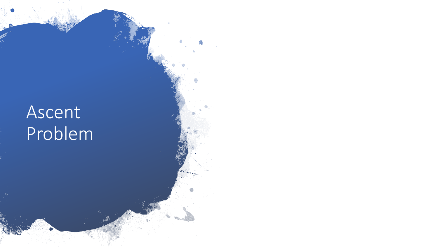# Ascent Problem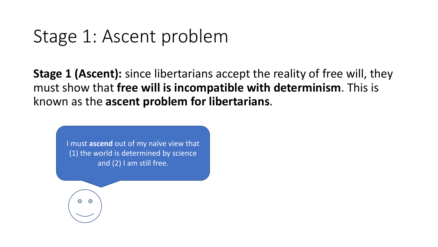#### Stage 1: Ascent problem

**Stage 1 (Ascent):** since libertarians accept the reality of free will, they must show that **free will is incompatible with determinism**. This is known as the **ascent problem for libertarians**.

I must **ascend** out of my naïve view that (1) the world is determined by science and (2) I am still free.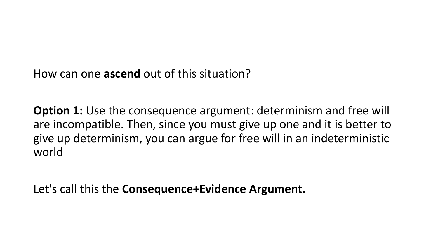How can one **ascend** out of this situation?

**Option 1:** Use the consequence argument: determinism and free will are incompatible. Then, since you must give up one and it is better to give up determinism, you can argue for free will in an indeterministic world

Let's call this the **Consequence+Evidence Argument.**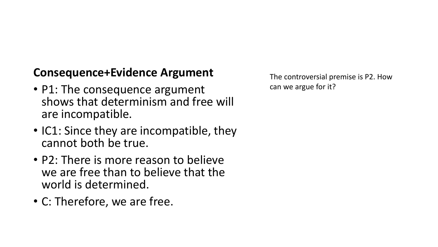#### **Consequence+Evidence Argument**

- P1: The consequence argument shows that determinism and free will are incompatible.
- IC1: Since they are incompatible, they cannot both be true.
- P2: There is more reason to believe we are free than to believe that the world is determined.
- C: Therefore, we are free.

The controversial premise is P2. How can we argue for it?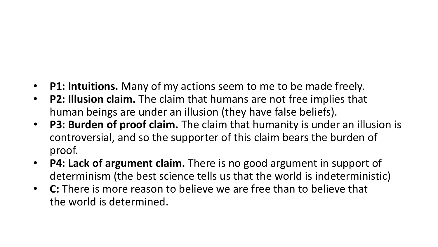- **P1: Intuitions.** Many of my actions seem to me to be made freely.
- **P2: Illusion claim.** The claim that humans are not free implies that human beings are under an illusion (they have false beliefs).
- **P3: Burden of proof claim.** The claim that humanity is under an illusion is controversial, and so the supporter of this claim bears the burden of proof.
- **P4: Lack of argument claim.** There is no good argument in support of determinism (the best science tells us that the world is indeterministic)
- **C:** There is more reason to believe we are free than to believe that the world is determined.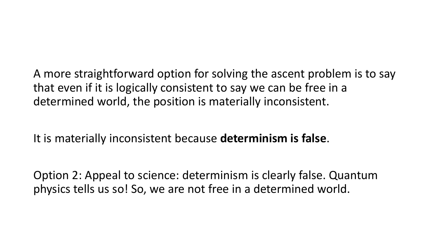A more straightforward option for solving the ascent problem is to say that even if it is logically consistent to say we can be free in a determined world, the position is materially inconsistent.

It is materially inconsistent because **determinism is false**.

Option 2: Appeal to science: determinism is clearly false. Quantum physics tells us so! So, we are not free in a determined world.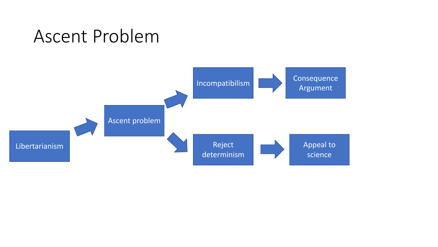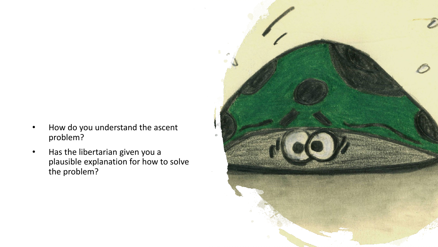- How do you understand the ascent problem?
- Has the libertarian given you a plausible explanation for how to solve the problem?

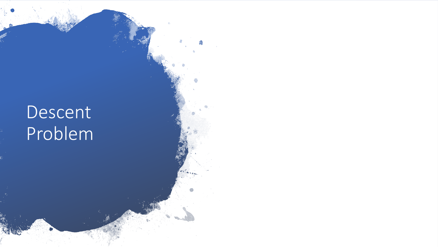# Descent Problem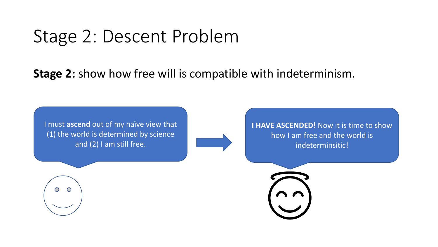### Stage 2: Descent Problem

#### **Stage 2:** show how free will is compatible with indeterminism.

I must **ascend** out of my naïve view that (1) the world is determined by science and (2) I am still free.

**I HAVE ASCENDED!** Now it is time to show how I am free and the world is indeterminsitic!

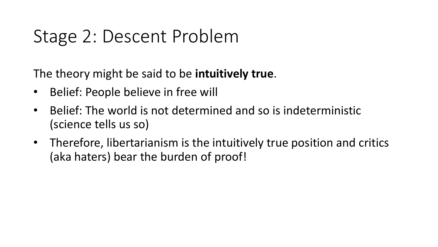# Stage 2: Descent Problem

The theory might be said to be **intuitively true**.

- Belief: People believe in free will
- Belief: The world is not determined and so is indeterministic (science tells us so)
- Therefore, libertarianism is the intuitively true position and critics (aka haters) bear the burden of proof!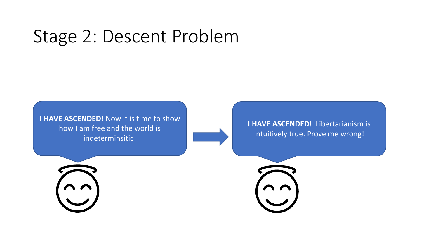## Stage 2: Descent Problem

**I HAVE ASCENDED!** Now it is time to show how I am free and the world is indeterminsitic!



**I HAVE ASCENDED!** Libertarianism is intuitively true. Prove me wrong!



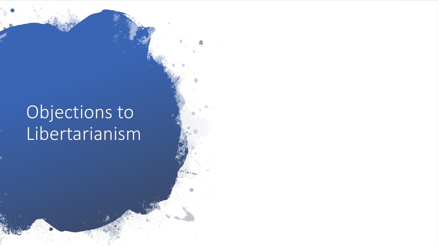# Objections to Libertarianism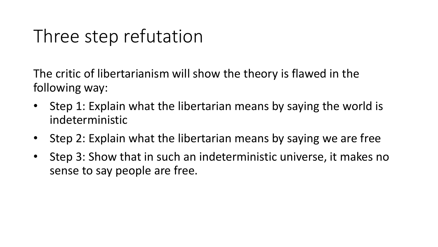# Three step refutation

The critic of libertarianism will show the theory is flawed in the following way:

- Step 1: Explain what the libertarian means by saying the world is indeterministic
- Step 2: Explain what the libertarian means by saying we are free
- Step 3: Show that in such an indeterministic universe, it makes no sense to say people are free.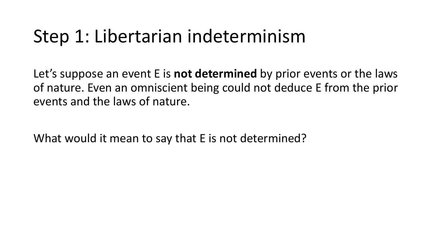Let's suppose an event E is **not determined** by prior events or the laws of nature. Even an omniscient being could not deduce E from the prior events and the laws of nature.

What would it mean to say that E is not determined?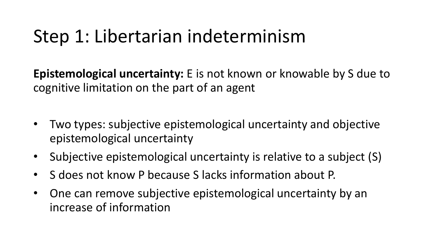**Epistemological uncertainty:** E is not known or knowable by S due to cognitive limitation on the part of an agent

- Two types: subjective epistemological uncertainty and objective epistemological uncertainty
- Subjective epistemological uncertainty is relative to a subject (S)
- S does not know P because S lacks information about P.
- One can remove subjective epistemological uncertainty by an increase of information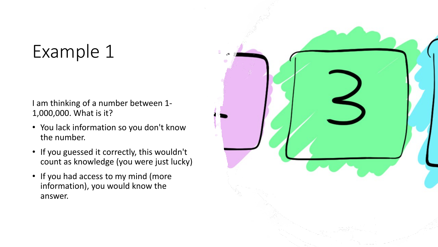# Example 1

I am thinking of a number between 1- 1,000,000. What is it?

- You lack information so you don't know the number.
- If you guessed it correctly, this wouldn't count as knowledge (you were just lucky)
- If you had access to my mind (more information), you would know the answer.

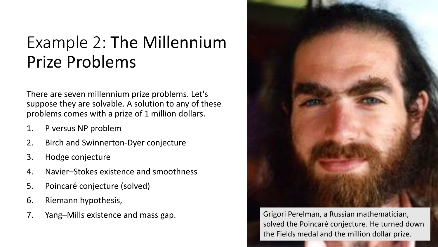#### Example 2: The Millennium Prize Problems

There are seven millennium prize problems. Let's suppose they are solvable. A solution to any of these problems comes with a prize of 1 million dollars.

- 1. P versus NP problem
- 2. Birch and Swinnerton-Dyer conjecture
- 3. Hodge conjecture
- 4. Navier–Stokes existence and smoothness
- 5. Poincaré conjecture (solved)
- 6. Riemann hypothesis,
- 7. Yang–Mills existence and mass gap. Grigori Perelman, a Russian mathematician,



solved the Poincaré conjecture. He turned down the Fields medal and the million dollar prize.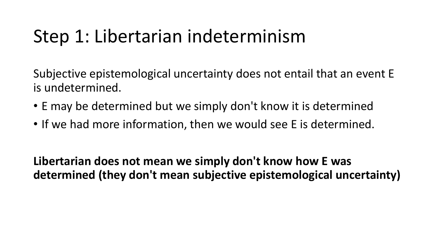Subjective epistemological uncertainty does not entail that an event E is undetermined.

- E may be determined but we simply don't know it is determined
- If we had more information, then we would see E is determined.

**Libertarian does not mean we simply don't know how E was determined (they don't mean subjective epistemological uncertainty)**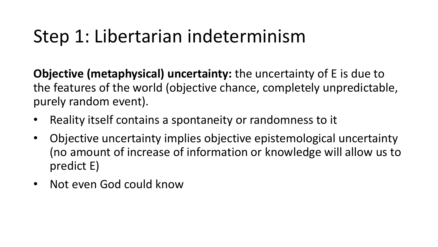**Objective (metaphysical) uncertainty:** the uncertainty of E is due to the features of the world (objective chance, completely unpredictable, purely random event).

- Reality itself contains a spontaneity or randomness to it
- Objective uncertainty implies objective epistemological uncertainty (no amount of increase of information or knowledge will allow us to predict E)
- Not even God could know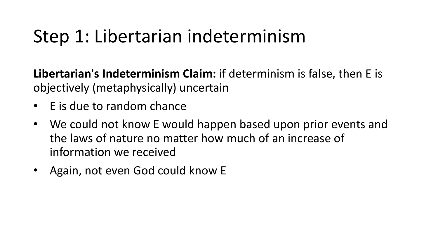**Libertarian's Indeterminism Claim:** if determinism is false, then E is objectively (metaphysically) uncertain

- E is due to random chance
- We could not know E would happen based upon prior events and the laws of nature no matter how much of an increase of information we received
- Again, not even God could know E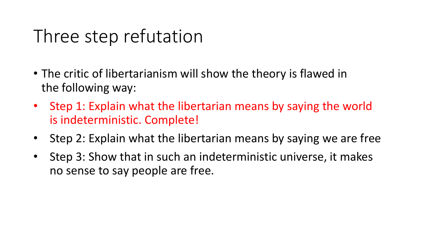# Three step refutation

- The critic of libertarianism will show the theory is flawed in the following way:
- Step 1: Explain what the libertarian means by saying the world is indeterministic. Complete!
- Step 2: Explain what the libertarian means by saying we are free
- Step 3: Show that in such an indeterministic universe, it makes no sense to say people are free.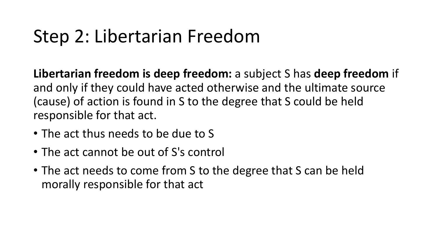# Step 2: Libertarian Freedom

**Libertarian freedom is deep freedom:** a subject S has **deep freedom** if and only if they could have acted otherwise and the ultimate source (cause) of action is found in S to the degree that S could be held responsible for that act.

- The act thus needs to be due to S
- The act cannot be out of S's control
- The act needs to come from S to the degree that S can be held morally responsible for that act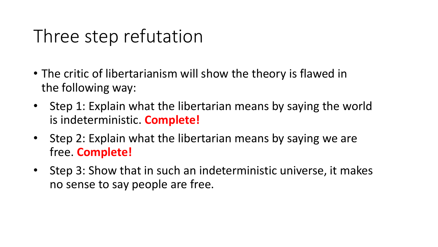# Three step refutation

- The critic of libertarianism will show the theory is flawed in the following way:
- Step 1: Explain what the libertarian means by saying the world is indeterministic. **Complete!**
- Step 2: Explain what the libertarian means by saying we are free. **Complete!**
- Step 3: Show that in such an indeterministic universe, it makes no sense to say people are free.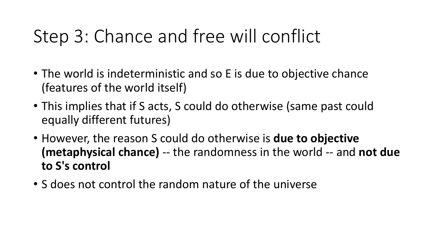- The world is indeterministic and so E is due to objective chance (features of the world itself)
- This implies that if S acts, S could do otherwise (same past could equally different futures)
- However, the reason S could do otherwise is **due to objective (metaphysical chance)** -- the randomness in the world -- and **not due to S's control**
- S does not control the random nature of the universe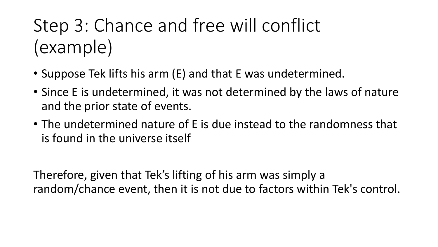# Step 3: Chance and free will conflict (example)

- Suppose Tek lifts his arm (E) and that E was undetermined.
- Since E is undetermined, it was not determined by the laws of nature and the prior state of events.
- The undetermined nature of E is due instead to the randomness that is found in the universe itself

Therefore, given that Tek's lifting of his arm was simply a random/chance event, then it is not due to factors within Tek's control.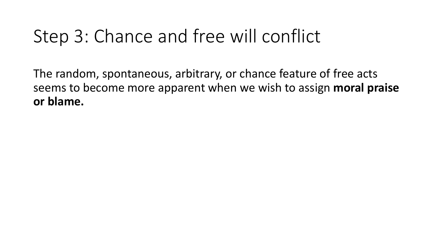The random, spontaneous, arbitrary, or chance feature of free acts seems to become more apparent when we wish to assign **moral praise or blame.**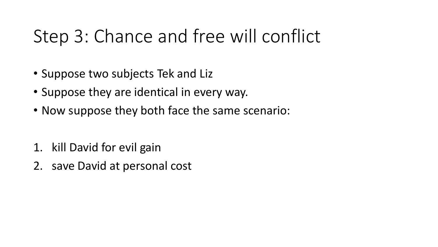- Suppose two subjects Tek and Liz
- Suppose they are identical in every way.
- Now suppose they both face the same scenario:
- 1. kill David for evil gain
- 2. save David at personal cost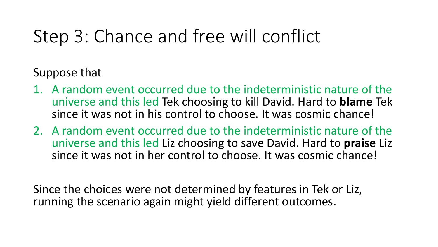Suppose that

- 1. A random event occurred due to the indeterministic nature of the universe and this led Tek choosing to kill David. Hard to **blame** Tek since it was not in his control to choose. It was cosmic chance!
- 2. A random event occurred due to the indeterministic nature of the universe and this led Liz choosing to save David. Hard to **praise** Liz since it was not in her control to choose. It was cosmic chance!

Since the choices were not determined by features in Tek or Liz, running the scenario again might yield different outcomes.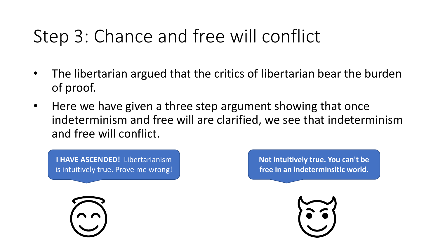- The libertarian argued that the critics of libertarian bear the burden of proof.
- Here we have given a three step argument showing that once indeterminism and free will are clarified, we see that indeterminism and free will conflict.

**I HAVE ASCENDED!** Libertarianism is intuitively true. Prove me wrong! **Not intuitively true. You can't be free in an indeterminsitic world.**